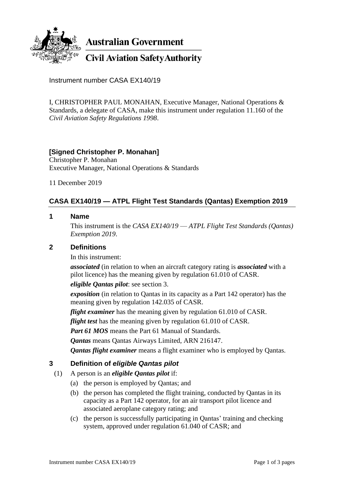

**Australian Government** 

**Civil Aviation Safety Authority** 

Instrument number CASA EX140/19

I, CHRISTOPHER PAUL MONAHAN, Executive Manager, National Operations & Standards, a delegate of CASA, make this instrument under regulation 11.160 of the *Civil Aviation Safety Regulations 1998*.

## **[Signed Christopher P. Monahan]**

Christopher P. Monahan Executive Manager, National Operations & Standards

11 December 2019

# **CASA EX140/19 — ATPL Flight Test Standards (Qantas) Exemption 2019**

### **1 Name**

This instrument is the *CASA EX140/19* — *ATPL Flight Test Standards (Qantas) Exemption 2019*.

## **2 Definitions**

In this instrument:

*associated* (in relation to when an aircraft category rating is *associated* with a pilot licence) has the meaning given by regulation 61.010 of CASR.

*eligible Qantas pilot*: see section 3.

*exposition* (in relation to Qantas in its capacity as a Part 142 operator) has the meaning given by regulation 142.035 of CASR.

*flight examiner* has the meaning given by regulation 61.010 of CASR.

*flight test* has the meaning given by regulation 61.010 of CASR.

Part 61 MOS means the Part 61 Manual of Standards.

*Qantas* means Qantas Airways Limited, ARN 216147.

*Qantas flight examiner* means a flight examiner who is employed by Qantas.

## **3 Definition of** *eligible Qantas pilot*

- (1) A person is an *eligible Qantas pilot* if:
	- (a) the person is employed by Qantas; and
	- (b) the person has completed the flight training, conducted by Qantas in its capacity as a Part 142 operator, for an air transport pilot licence and associated aeroplane category rating; and
	- (c) the person is successfully participating in Qantas' training and checking system, approved under regulation 61.040 of CASR; and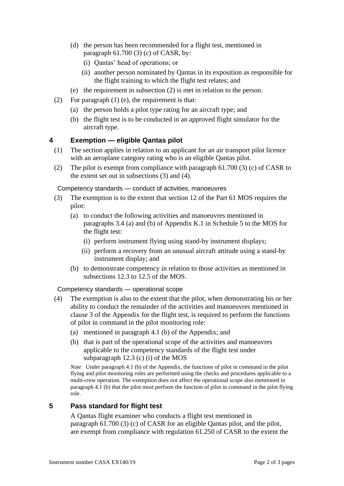- (d) the person has been recommended for a flight test, mentioned in paragraph 61.700 (3) (c) of CASR, by:
	- (i) Qantas' head of operations; or
	- (ii) another person nominated by Qantas in its exposition as responsible for the flight training to which the flight test relates; and
- (e) the requirement in subsection (2) is met in relation to the person.
- (2) For paragraph (1) (e), the requirement is that:
	- (a) the person holds a pilot type rating for an aircraft type; and
	- (b) the flight test is to be conducted in an approved flight simulator for the aircraft type.

## **4 Exemption — eligible Qantas pilot**

- (1) The section applies in relation to an applicant for an air transport pilot licence with an aeroplane category rating who is an eligible Qantas pilot.
- (2) The pilot is exempt from compliance with paragraph 61.700 (3) (c) of CASR to the extent set out in subsections (3) and (4).

Competency standards — conduct of activities, manoeuvres

- (3) The exemption is to the extent that section 12 of the Part 61 MOS requires the pilot:
	- (a) to conduct the following activities and manoeuvres mentioned in paragraphs 3.4 (a) and (b) of Appendix K.1 in Schedule 5 to the MOS for the flight test:
		- (i) perform instrument flying using stand-by instrument displays;
		- (ii) perform a recovery from an unusual aircraft attitude using a stand-by instrument display; and
	- (b) to demonstrate competency in relation to those activities as mentioned in subsections 12.3 to 12.5 of the MOS.

Competency standards — operational scope

- (4) The exemption is also to the extent that the pilot, when demonstrating his or her ability to conduct the remainder of the activities and manoeuvres mentioned in clause 3 of the Appendix for the flight test, is required to perform the functions of pilot in command in the pilot monitoring role:
	- (a) mentioned in paragraph 4.1 (b) of the Appendix; and
	- (b) that is part of the operational scope of the activities and manoeuvres applicable to the competency standards of the flight test under subparagraph 12.3 (c) (i) of the MOS

*Note* Under paragraph 4.1 (b) of the Appendix, the functions of pilot in command in the pilot flying and pilot monitoring roles are performed using the checks and procedures applicable to a multi-crew operation. The exemption does not affect the operational scope also mentioned in paragraph 4.1 (b) that the pilot must perform the function of pilot in command in the pilot flying role.

### **5 Pass standard for flight test**

A Qantas flight examiner who conducts a flight test mentioned in paragraph 61.700 (3) (c) of CASR for an eligible Qantas pilot, and the pilot, are exempt from compliance with regulation 61.250 of CASR to the extent the